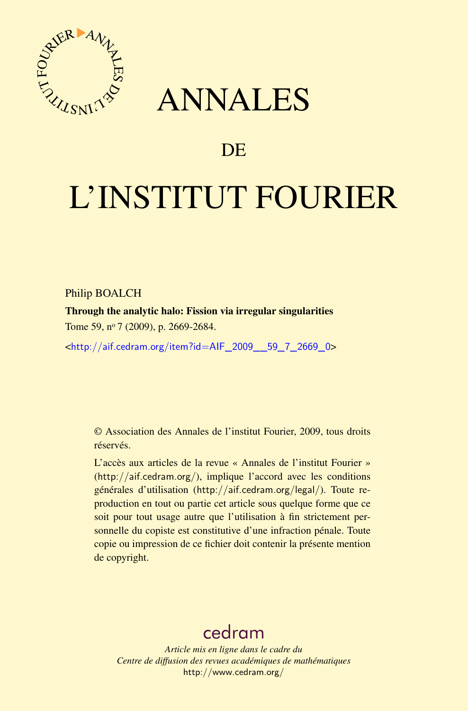

## ANNALES

## **DE**

# L'INSTITUT FOURIER

#### Philip BOALCH

Through the analytic halo: Fission via irregular singularities Tome 59, nº 7 (2009), p. 2669-2684.

<[http://aif.cedram.org/item?id=AIF\\_2009\\_\\_59\\_7\\_2669\\_0](http://aif.cedram.org/item?id=AIF_2009__59_7_2669_0)>

© Association des Annales de l'institut Fourier, 2009, tous droits réservés.

L'accès aux articles de la revue « Annales de l'institut Fourier » (<http://aif.cedram.org/>), implique l'accord avec les conditions générales d'utilisation (<http://aif.cedram.org/legal/>). Toute reproduction en tout ou partie cet article sous quelque forme que ce soit pour tout usage autre que l'utilisation à fin strictement personnelle du copiste est constitutive d'une infraction pénale. Toute copie ou impression de ce fichier doit contenir la présente mention de copyright.

## [cedram](http://www.cedram.org/)

*Article mis en ligne dans le cadre du Centre de diffusion des revues académiques de mathématiques* <http://www.cedram.org/>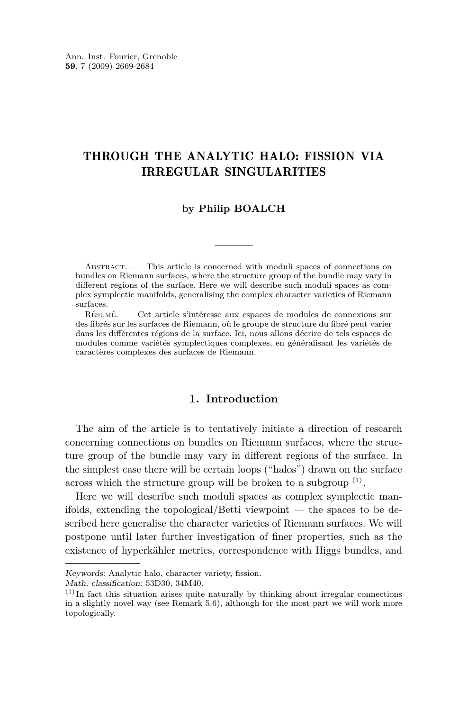### THROUGH THE ANALYTIC HALO: FISSION VIA IRREGULAR SINGULARITIES

#### **by Philip BOALCH**

ABSTRACT. — This article is concerned with moduli spaces of connections on bundles on Riemann surfaces, where the structure group of the bundle may vary in different regions of the surface. Here we will describe such moduli spaces as complex symplectic manifolds, generalising the complex character varieties of Riemann surfaces.

Résumé. — Cet article s'intéresse aux espaces de modules de connexions sur des fibrés sur les surfaces de Riemann, où le groupe de structure du fibré peut varier dans les différentes régions de la surface. Ici, nous allons décrire de tels espaces de modules comme variétés symplectiques complexes, en généralisant les variétés de caractères complexes des surfaces de Riemann.

#### **1. Introduction**

The aim of the article is to tentatively initiate a direction of research concerning connections on bundles on Riemann surfaces, where the structure group of the bundle may vary in different regions of the surface. In the simplest case there will be certain loops ("halos") drawn on the surface across which the structure group will be broken to a subgroup  $(1)$ .

Here we will describe such moduli spaces as complex symplectic manifolds, extending the topological/Betti viewpoint — the spaces to be described here generalise the character varieties of Riemann surfaces. We will postpone until later further investigation of finer properties, such as the existence of hyperkähler metrics, correspondence with Higgs bundles, and

Math. classification: 53D30, 34M40.

Keywords: Analytic halo, character variety, fission.

 $<sup>(1)</sup>$  In fact this situation arises quite naturally by thinking about irregular connections</sup> in a slightly novel way (see Remark [5.6\)](#page-12-0), although for the most part we will work more topologically.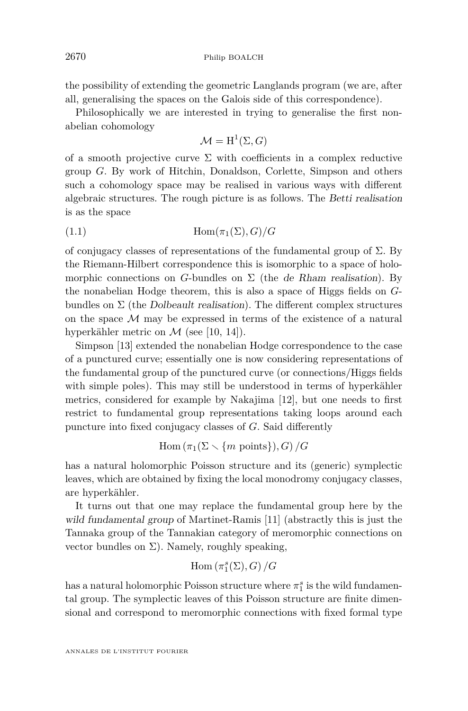<span id="page-2-0"></span>the possibility of extending the geometric Langlands program (we are, after all, generalising the spaces on the Galois side of this correspondence).

Philosophically we are interested in trying to generalise the first nonabelian cohomology

$$
\mathcal{M} = \mathrm{H}^1(\Sigma, G)
$$

of a smooth projective curve  $\Sigma$  with coefficients in a complex reductive group *G*. By work of Hitchin, Donaldson, Corlette, Simpson and others such a cohomology space may be realised in various ways with different algebraic structures. The rough picture is as follows. The Betti realisation is as the space

$$
(1.1)\qquad \qquad \text{Hom}(\pi_1(\Sigma), G)/G
$$

of conjugacy classes of representations of the fundamental group of  $\Sigma$ . By the Riemann-Hilbert correspondence this is isomorphic to a space of holomorphic connections on *G*-bundles on  $\Sigma$  (the *de Rham realisation*). By the nonabelian Hodge theorem, this is also a space of Higgs fields on *G*bundles on  $\Sigma$  (the Dolbeault realisation). The different complex structures on the space *M* may be expressed in terms of the existence of a natural hyperkähler metric on  $\mathcal M$  (see [\[10,](#page-16-0) [14\]](#page-16-0)).

Simpson [\[13\]](#page-16-0) extended the nonabelian Hodge correspondence to the case of a punctured curve; essentially one is now considering representations of the fundamental group of the punctured curve (or connections/Higgs fields with simple poles). This may still be understood in terms of hyperkähler metrics, considered for example by Nakajima [\[12\]](#page-16-0), but one needs to first restrict to fundamental group representations taking loops around each puncture into fixed conjugacy classes of *G*. Said differently

 $\text{Hom}(\pi_1(\Sigma \setminus \{m \text{ points}\}), G) / G$ 

has a natural holomorphic Poisson structure and its (generic) symplectic leaves, which are obtained by fixing the local monodromy conjugacy classes, are hyperkähler.

It turns out that one may replace the fundamental group here by the wild fundamental group of Martinet-Ramis [\[11\]](#page-16-0) (abstractly this is just the Tannaka group of the Tannakian category of meromorphic connections on vector bundles on  $\Sigma$ ). Namely, roughly speaking,

$$
\mathrm{Hom}\left(\pi_1^s(\Sigma),G\right)/G
$$

has a natural holomorphic Poisson structure where  $\pi_1^s$  is the wild fundamental group. The symplectic leaves of this Poisson structure are finite dimensional and correspond to meromorphic connections with fixed formal type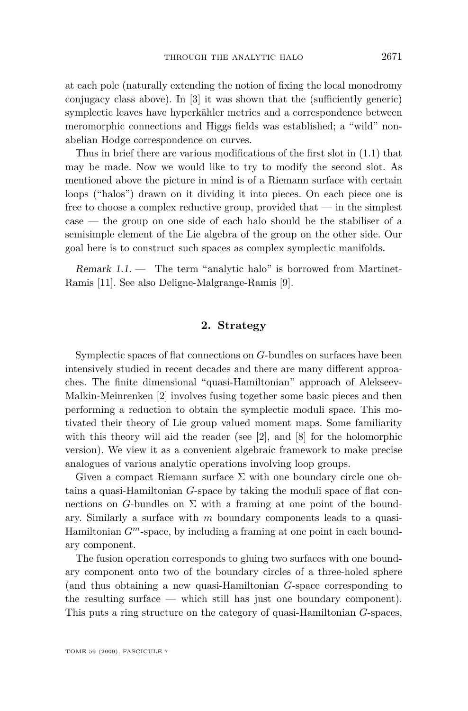at each pole (naturally extending the notion of fixing the local monodromy conjugacy class above). In [\[3\]](#page-16-0) it was shown that the (sufficiently generic) symplectic leaves have hyperkähler metrics and a correspondence between meromorphic connections and Higgs fields was established; a "wild" nonabelian Hodge correspondence on curves.

Thus in brief there are various modifications of the first slot in [\(1.1\)](#page-2-0) that may be made. Now we would like to try to modify the second slot. As mentioned above the picture in mind is of a Riemann surface with certain loops ("halos") drawn on it dividing it into pieces. On each piece one is free to choose a complex reductive group, provided that — in the simplest case — the group on one side of each halo should be the stabiliser of a semisimple element of the Lie algebra of the group on the other side. Our goal here is to construct such spaces as complex symplectic manifolds.

Remark 1.1. — The term "analytic halo" is borrowed from Martinet-Ramis [\[11\]](#page-16-0). See also Deligne-Malgrange-Ramis [\[9\]](#page-16-0).

#### **2. Strategy**

Symplectic spaces of flat connections on *G*-bundles on surfaces have been intensively studied in recent decades and there are many different approaches. The finite dimensional "quasi-Hamiltonian" approach of Alekseev-Malkin-Meinrenken [\[2\]](#page-16-0) involves fusing together some basic pieces and then performing a reduction to obtain the symplectic moduli space. This motivated their theory of Lie group valued moment maps. Some familiarity with this theory will aid the reader (see [\[2\]](#page-16-0), and [\[8\]](#page-16-0) for the holomorphic version). We view it as a convenient algebraic framework to make precise analogues of various analytic operations involving loop groups.

Given a compact Riemann surface  $\Sigma$  with one boundary circle one obtains a quasi-Hamiltonian *G*-space by taking the moduli space of flat connections on *G*-bundles on  $\Sigma$  with a framing at one point of the boundary. Similarly a surface with *m* boundary components leads to a quasi-Hamiltonian *G<sup>m</sup>*-space, by including a framing at one point in each boundary component.

The fusion operation corresponds to gluing two surfaces with one boundary component onto two of the boundary circles of a three-holed sphere (and thus obtaining a new quasi-Hamiltonian *G*-space corresponding to the resulting surface — which still has just one boundary component). This puts a ring structure on the category of quasi-Hamiltonian *G*-spaces,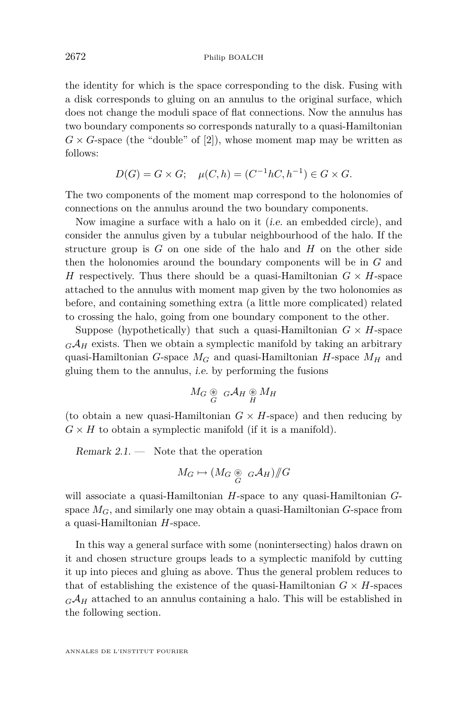the identity for which is the space corresponding to the disk. Fusing with a disk corresponds to gluing on an annulus to the original surface, which does not change the moduli space of flat connections. Now the annulus has two boundary components so corresponds naturally to a quasi-Hamiltonian  $G \times G$ -space (the "double" of [\[2\]](#page-16-0)), whose moment map may be written as follows:

$$
D(G) = G \times G; \quad \mu(C, h) = (C^{-1}hC, h^{-1}) \in G \times G.
$$

The two components of the moment map correspond to the holonomies of connections on the annulus around the two boundary components.

Now imagine a surface with a halo on it (i.e. an embedded circle), and consider the annulus given by a tubular neighbourhood of the halo. If the structure group is *G* on one side of the halo and *H* on the other side then the holonomies around the boundary components will be in *G* and *H* respectively. Thus there should be a quasi-Hamiltonian  $G \times H$ -space attached to the annulus with moment map given by the two holonomies as before, and containing something extra (a little more complicated) related to crossing the halo, going from one boundary component to the other.

Suppose (hypothetically) that such a quasi-Hamiltonian  $G \times H$ -space  $G\mathcal{A}_H$  exists. Then we obtain a symplectic manifold by taking an arbitrary quasi-Hamiltonian *G*-space  $M_G$  and quasi-Hamiltonian *H*-space  $M_H$  and gluing them to the annulus, i.e. by performing the fusions

$$
M_G \underset{G}{\circledast} \ _{G}\mathcal{A}_H \underset{H}{\circledast} M_H
$$

(to obtain a new quasi-Hamiltonian  $G \times H$ -space) and then reducing by  $G \times H$  to obtain a symplectic manifold (if it is a manifold).

Remark  $2.1.$  — Note that the operation

$$
M_G \mapsto (M_G \underset{G}{\circledast} G \mathcal{A}_H) /\!\!/ G
$$

will associate a quasi-Hamiltonian *H*-space to any quasi-Hamiltonian *G*space  $M_G$ , and similarly one may obtain a quasi-Hamiltonian  $G$ -space from a quasi-Hamiltonian *H*-space.

In this way a general surface with some (nonintersecting) halos drawn on it and chosen structure groups leads to a symplectic manifold by cutting it up into pieces and gluing as above. Thus the general problem reduces to that of establishing the existence of the quasi-Hamiltonian  $G \times H$ -spaces  $G\mathcal{A}_H$  attached to an annulus containing a halo. This will be established in the following section.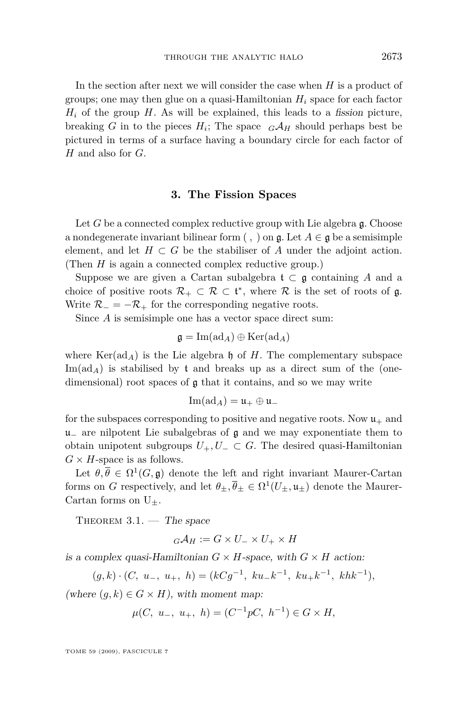<span id="page-5-0"></span>In the section after next we will consider the case when *H* is a product of groups; one may then glue on a quasi-Hamiltonian *H<sup>i</sup>* space for each factor  $H_i$  of the group  $H$ . As will be explained, this leads to a fission picture, breaking *G* in to the pieces  $H_i$ ; The space  $_G\mathcal{A}_H$  should perhaps best be pictured in terms of a surface having a boundary circle for each factor of *H* and also for *G*.

#### **3. The Fission Spaces**

Let *G* be a connected complex reductive group with Lie algebra g. Choose a nondegenerate invariant bilinear form  $($ ,  $)$  on  $\mathfrak{g}$ . Let  $A \in \mathfrak{g}$  be a semisimple element, and let  $H \subset G$  be the stabiliser of *A* under the adjoint action. (Then *H* is again a connected complex reductive group.)

Suppose we are given a Cartan subalgebra  $\mathfrak{t} \subset \mathfrak{g}$  containing A and a choice of positive roots  $\mathcal{R}_+ \subset \mathcal{R} \subset \mathfrak{t}^*$ , where  $\mathcal R$  is the set of roots of  $\mathfrak{g}$ . Write  $\mathcal{R}_- = -\mathcal{R}_+$  for the corresponding negative roots.

Since *A* is semisimple one has a vector space direct sum:

$$
\mathfrak{g}=\mathrm{Im}(\mathrm{ad}_A)\oplus\mathrm{Ker}(\mathrm{ad}_A)
$$

where  $\text{Ker}(\text{ad}_A)$  is the Lie algebra h of *H*. The complementary subspace  $\text{Im}(\text{ad}_A)$  is stabilised by t and breaks up as a direct sum of the (onedimensional) root spaces of  $\boldsymbol{g}$  that it contains, and so we may write

$$
\operatorname{Im}(\operatorname{ad}_A)=\mathfrak{u}_+\oplus\mathfrak{u}_-
$$

for the subspaces corresponding to positive and negative roots. Now  $\mathfrak{u}_+$  and u*<sup>−</sup>* are nilpotent Lie subalgebras of g and we may exponentiate them to obtain unipotent subgroups  $U_+, U_-\subset G$ . The desired quasi-Hamiltonian  $G \times H$ -space is as follows.

Let  $\theta, \overline{\theta} \in \Omega^1(G, \mathfrak{g})$  denote the left and right invariant Maurer-Cartan forms on *G* respectively, and let  $\theta_{\pm}, \overline{\theta}_{\pm} \in \Omega^1(U_{\pm}, \mathfrak{u}_{\pm})$  denote the Maurer-Cartan forms on U*±*.

THEOREM  $3.1.$  — The space

$$
{}_{G}\mathcal{A}_{H}:=G\times U_{-}\times U_{+}\times H
$$

is a complex quasi-Hamiltonian  $G \times H$ -space, with  $G \times H$  action:

$$
(g,k)\cdot (C, u_-, u_+, h) = (kCg^{-1}, ku_-k^{-1}, ku_+k^{-1}, khk^{-1}),
$$

(where  $(q, k) \in G \times H$ ), with moment map:

$$
\mu(C, u_-, u_+, h) = (C^{-1}pC, h^{-1}) \in G \times H,
$$

TOME 59 (2009), FASCICULE 7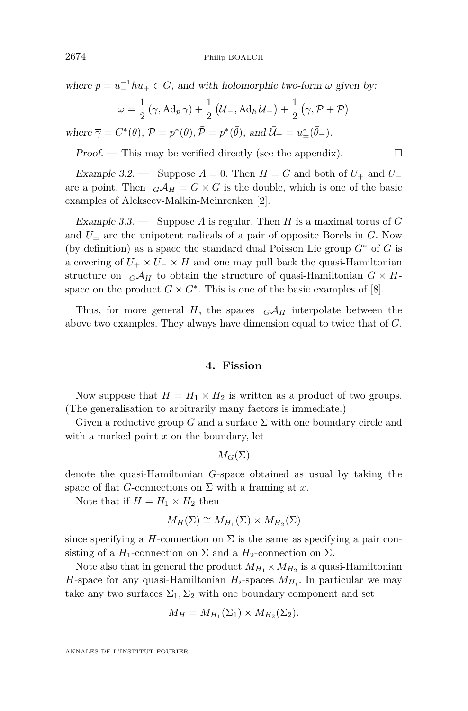where  $p = u^{-1}hu_+ \in G$ , and with holomorphic two-form  $\omega$  given by:

$$
\omega = \frac{1}{2} \left( \overline{\gamma}, \operatorname{Ad}_p \overline{\gamma} \right) + \frac{1}{2} \left( \overline{\mathcal{U}}_-, \operatorname{Ad}_h \overline{\mathcal{U}}_+ \right) + \frac{1}{2} \left( \overline{\gamma}, \mathcal{P} + \overline{\mathcal{P}} \right)
$$

where  $\overline{\gamma} = C^*(\overline{\theta}), \mathcal{P} = p^*(\theta), \overline{\mathcal{P}} = p^*(\overline{\theta}), \text{ and } \overline{\mathcal{U}}_{\pm} = u_{\pm}^*(\overline{\theta}_{\pm}).$ 

Proof. — This may be verified directly (see the appendix).  $\Box$ 

Example 3.2. — Suppose  $A = 0$ . Then  $H = G$  and both of  $U_+$  and  $U_$ are a point. Then  $_G\mathcal{A}_H = G \times G$  is the double, which is one of the basic examples of Alekseev-Malkin-Meinrenken [\[2\]](#page-16-0).

Example 3.3. — Suppose *A* is regular. Then *H* is a maximal torus of *G* and  $U_{\pm}$  are the unipotent radicals of a pair of opposite Borels in *G*. Now (by definition) as a space the standard dual Poisson Lie group *G<sup>∗</sup>* of *G* is a covering of  $U_+ \times U_- \times H$  and one may pull back the quasi-Hamiltonian structure on  $_G\mathcal{A}_H$  to obtain the structure of quasi-Hamiltonian  $G \times H$ space on the product  $G \times G^*$ . This is one of the basic examples of [\[8\]](#page-16-0).

Thus, for more general *H*, the spaces  $G\mathcal{A}_H$  interpolate between the above two examples. They always have dimension equal to twice that of *G*.

#### **4. Fission**

Now suppose that  $H = H_1 \times H_2$  is written as a product of two groups. (The generalisation to arbitrarily many factors is immediate.)

Given a reductive group *G* and a surface  $\Sigma$  with one boundary circle and with a marked point *x* on the boundary, let

$$
M_G(\Sigma)
$$

denote the quasi-Hamiltonian *G*-space obtained as usual by taking the space of flat *G*-connections on  $\Sigma$  with a framing at *x*.

Note that if  $H = H_1 \times H_2$  then

$$
M_H(\Sigma) \cong M_{H_1}(\Sigma) \times M_{H_2}(\Sigma)
$$

since specifying a *H*-connection on  $\Sigma$  is the same as specifying a pair consisting of a  $H_1$ -connection on  $\Sigma$  and a  $H_2$ -connection on  $\Sigma$ .

Note also that in general the product  $M_{H_1} \times M_{H_2}$  is a quasi-Hamiltonian *H*-space for any quasi-Hamiltonian  $H_i$ -spaces  $M_{H_i}$ . In particular we may take any two surfaces  $\Sigma_1$ ,  $\Sigma_2$  with one boundary component and set

$$
M_H = M_{H_1}(\Sigma_1) \times M_{H_2}(\Sigma_2).
$$

ANNALES DE L'INSTITUT FOURIER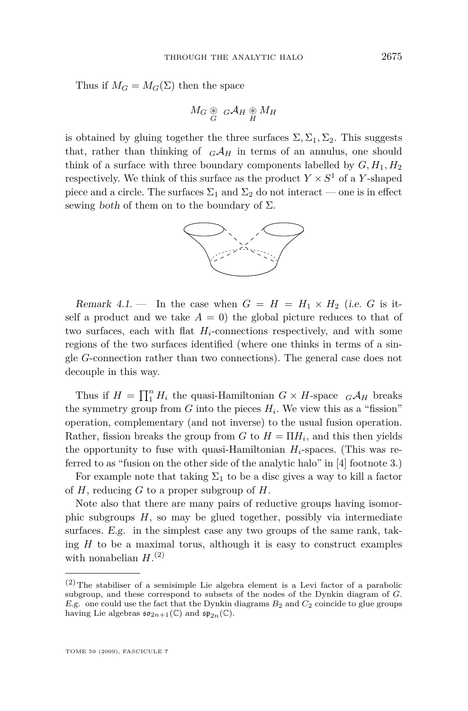Thus if  $M_G = M_G(\Sigma)$  then the space

$$
M_G \underset{G}{\circledast} G \mathcal{A}_H \underset{H}{\circledast} M_H
$$

is obtained by gluing together the three surfaces  $\Sigma$ ,  $\Sigma_1$ ,  $\Sigma_2$ . This suggests that, rather than thinking of  $_GA_H$  in terms of an annulus, one should think of a surface with three boundary components labelled by  $G, H_1, H_2$ respectively. We think of this surface as the product  $Y \times S^1$  of a *Y*-shaped piece and a circle. The surfaces  $\Sigma_1$  and  $\Sigma_2$  do not interact — one is in effect sewing both of them on to the boundary of  $\Sigma$ .



Remark 4.1. — In the case when  $G = H = H_1 \times H_2$  (i.e. *G* is itself a product and we take  $A = 0$ ) the global picture reduces to that of two surfaces, each with flat  $H_i$ -connections respectively, and with some regions of the two surfaces identified (where one thinks in terms of a single *G*-connection rather than two connections). The general case does not decouple in this way.

Thus if  $H = \prod_{1}^{n} H_i$  the quasi-Hamiltonian  $G \times H$ -space  $_G \mathcal{A}_H$  breaks the symmetry group from  $G$  into the pieces  $H_i$ . We view this as a "fission" operation, complementary (and not inverse) to the usual fusion operation. Rather, fission breaks the group from  $G$  to  $H = \Pi H_i$ , and this then yields the opportunity to fuse with quasi-Hamiltonian  $H_i$ -spaces. (This was referred to as "fusion on the other side of the analytic halo" in [\[4\]](#page-16-0) footnote 3.)

For example note that taking  $\Sigma_1$  to be a disc gives a way to kill a factor of *H*, reducing *G* to a proper subgroup of *H*.

Note also that there are many pairs of reductive groups having isomorphic subgroups *H*, so may be glued together, possibly via intermediate surfaces. E.g. in the simplest case any two groups of the same rank, taking *H* to be a maximal torus, although it is easy to construct examples with nonabelian  $H^{(2)}$ 

 $(2)$  The stabiliser of a semisimple Lie algebra element is a Levi factor of a parabolic subgroup, and these correspond to subsets of the nodes of the Dynkin diagram of *G*. E.g. one could use the fact that the Dynkin diagrams *B*<sup>2</sup> and *C*<sup>2</sup> coincide to glue groups having Lie algebras  $\mathfrak{so}_{2n+1}(\mathbb{C})$  and  $\mathfrak{sp}_{2n}(\mathbb{C})$ .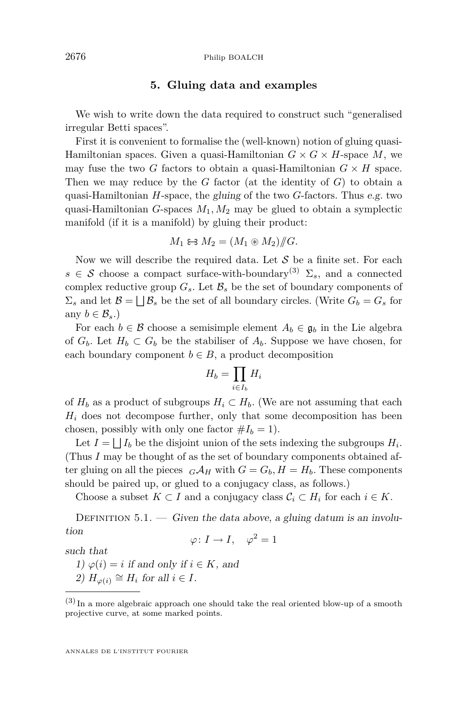#### **5. Gluing data and examples**

We wish to write down the data required to construct such "generalised irregular Betti spaces".

First it is convenient to formalise the (well-known) notion of gluing quasi-Hamiltonian spaces. Given a quasi-Hamiltonian  $G \times G \times H$ -space M, we may fuse the two *G* factors to obtain a quasi-Hamiltonian  $G \times H$  space. Then we may reduce by the *G* factor (at the identity of *G*) to obtain a quasi-Hamiltonian *H*-space, the gluing of the two *G*-factors. Thus e.g. two quasi-Hamiltonian *G*-spaces *M*1*, M*<sup>2</sup> may be glued to obtain a symplectic manifold (if it is a manifold) by gluing their product:

$$
M_1 \Leftrightarrow M_2 = (M_1 \circledast M_2) / \hspace{-0.3cm}/ G.
$$

Now we will describe the required data. Let *S* be a finite set. For each  $s \in \mathcal{S}$  choose a compact surface-with-boundary<sup>(3)</sup>  $\Sigma_s$ , and a connected complex reductive group  $G_s$ . Let  $\mathcal{B}_s$  be the set of boundary components of  $\Sigma_s$  and let  $\mathcal{B} = \bigsqcup \mathcal{B}_s$  be the set of all boundary circles. (Write  $G_b = G_s$  for any  $b \in \mathcal{B}_s$ .)

For each  $b \in \mathcal{B}$  choose a semisimple element  $A_b \in \mathfrak{g}_b$  in the Lie algebra of  $G_b$ . Let  $H_b \subset G_b$  be the stabiliser of  $A_b$ . Suppose we have chosen, for each boundary component  $b \in B$ , a product decomposition

$$
H_b = \prod_{i \in I_b} H_i
$$

of  $H_b$  as a product of subgroups  $H_i \subset H_b$ . (We are not assuming that each  $H_i$  does not decompose further, only that some decomposition has been chosen, possibly with only one factor  $#I_b = 1$ .

Let  $I = \bigsqcup I_b$  be the disjoint union of the sets indexing the subgroups  $H_i$ . (Thus *I* may be thought of as the set of boundary components obtained after gluing on all the pieces  $G \mathcal{A}_H$  with  $G = G_b$ ,  $H = H_b$ . These components should be paired up, or glued to a conjugacy class, as follows.)

Choose a subset  $K \subset I$  and a conjugacy class  $C_i \subset H_i$  for each  $i \in K$ .

DEFINITION  $5.1.$  — Given the data above, a gluing datum is an involution

$$
\varphi\colon I\to I,\quad \varphi^2=1
$$

such that

1)  $\varphi(i) = i$  if and only if  $i \in K$ , and

2)  $H_{\varphi(i)} \cong H_i$  for all  $i \in I$ .

 $(3)$  In a more algebraic approach one should take the real oriented blow-up of a smooth projective curve, at some marked points.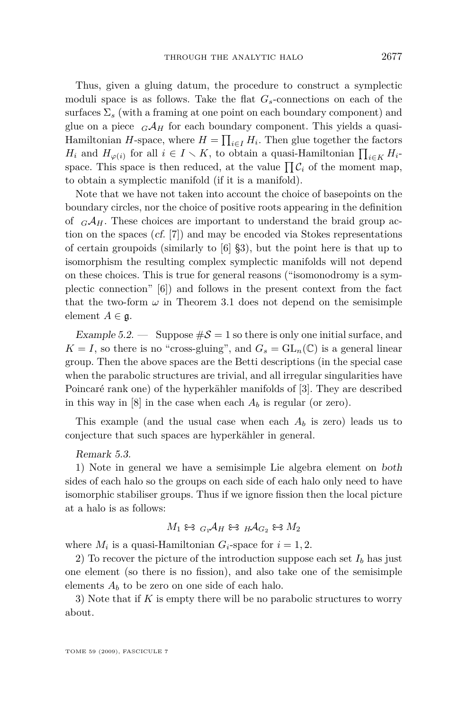Thus, given a gluing datum, the procedure to construct a symplectic moduli space is as follows. Take the flat *Gs*-connections on each of the surfaces  $\Sigma_s$  (with a framing at one point on each boundary component) and glue on a piece  $_GA_H$  for each boundary component. This yields a quasi-Hamiltonian *H*-space, where  $H = \prod_{i \in I} H_i$ . Then glue together the factors *H*<sub>i</sub> and  $H_{\varphi(i)}$  for all  $i \in I \setminus K$ , to obtain a quasi-Hamiltonian  $\prod_{i \in K} H_i$ space. This space is then reduced, at the value  $\prod \mathcal{C}_i$  of the moment map, to obtain a symplectic manifold (if it is a manifold).

Note that we have not taken into account the choice of basepoints on the boundary circles, nor the choice of positive roots appearing in the definition of  $_GA_H$ . These choices are important to understand the braid group action on the spaces (cf. [\[7\]](#page-16-0)) and may be encoded via Stokes representations of certain groupoids (similarly to [\[6\]](#page-16-0) §3), but the point here is that up to isomorphism the resulting complex symplectic manifolds will not depend on these choices. This is true for general reasons ("isomonodromy is a symplectic connection" [\[6\]](#page-16-0)) and follows in the present context from the fact that the two-form  $\omega$  in Theorem [3.1](#page-5-0) does not depend on the semisimple element  $A \in \mathfrak{g}$ .

Example 5.2. — Suppose  $\#\mathcal{S} = 1$  so there is only one initial surface, and  $K = I$ , so there is no "cross-gluing", and  $G_s = GL_n(\mathbb{C})$  is a general linear group. Then the above spaces are the Betti descriptions (in the special case when the parabolic structures are trivial, and all irregular singularities have Poincaré rank one) of the hyperkähler manifolds of [\[3\]](#page-16-0). They are described in this way in [\[8\]](#page-16-0) in the case when each  $A_b$  is regular (or zero).

This example (and the usual case when each *A<sup>b</sup>* is zero) leads us to conjecture that such spaces are hyperkähler in general.

#### Remark 5.3.

1) Note in general we have a semisimple Lie algebra element on both sides of each halo so the groups on each side of each halo only need to have isomorphic stabiliser groups. Thus if we ignore fission then the local picture at a halo is as follows:

$$
M_1 \Leftrightarrow {}_{G_1}\mathcal{A}_H \Leftrightarrow {}_{H}\mathcal{A}_{G_2} \Leftrightarrow M_2
$$

where  $M_i$  is a quasi-Hamiltonian  $G_i$ -space for  $i = 1, 2$ .

2) To recover the picture of the introduction suppose each set  $I_b$  has just one element (so there is no fission), and also take one of the semisimple elements  $A_b$  to be zero on one side of each halo.

3) Note that if *K* is empty there will be no parabolic structures to worry about.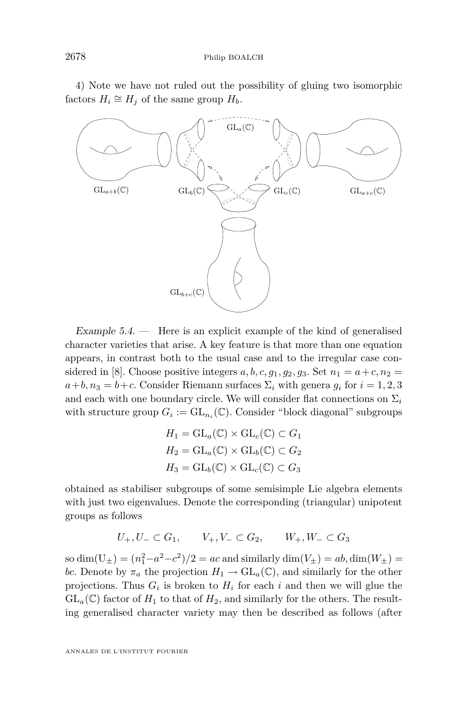4) Note we have not ruled out the possibility of gluing two isomorphic  $factors H_i \cong H_j$  of the same group  $H_b$ .



Example  $5.4.$  — Here is an explicit example of the kind of generalised character varieties that arise. A key feature is that more than one equation appears, in contrast both to the usual case and to the irregular case con-sidered in [\[8\]](#page-16-0). Choose positive integers  $a, b, c, g_1, g_2, g_3$ . Set  $n_1 = a+c, n_2 =$  $a+b, n_3 = b+c$ . Consider Riemann surfaces  $\Sigma_i$  with genera  $g_i$  for  $i = 1, 2, 3$ and each with one boundary circle. We will consider flat connections on  $\Sigma_i$ with structure group  $G_i := GL_{n_i}(\mathbb{C})$ . Consider "block diagonal" subgroups

$$
H_1 = GL_a(\mathbb{C}) \times GL_c(\mathbb{C}) \subset G_1
$$
  
\n
$$
H_2 = GL_a(\mathbb{C}) \times GL_b(\mathbb{C}) \subset G_2
$$
  
\n
$$
H_3 = GL_b(\mathbb{C}) \times GL_c(\mathbb{C}) \subset G_3
$$

obtained as stabiliser subgroups of some semisimple Lie algebra elements with just two eigenvalues. Denote the corresponding (triangular) unipotent groups as follows

$$
U_+, U_- \subset G_1
$$
,  $V_+, V_- \subset G_2$ ,  $W_+, W_- \subset G_3$ 

so  $\dim(U_{\pm}) = (n_1^2 - a^2 - c^2)/2 = ac$  and similarly  $\dim(V_{\pm}) = ab, \dim(W_{\pm}) =$ *bc*. Denote by  $\pi_a$  the projection  $H_1 \to GL_a(\mathbb{C})$ , and similarly for the other projections. Thus  $G_i$  is broken to  $H_i$  for each  $i$  and then we will glue the  $GL_a(\mathbb{C})$  factor of  $H_1$  to that of  $H_2$ , and similarly for the others. The resulting generalised character variety may then be described as follows (after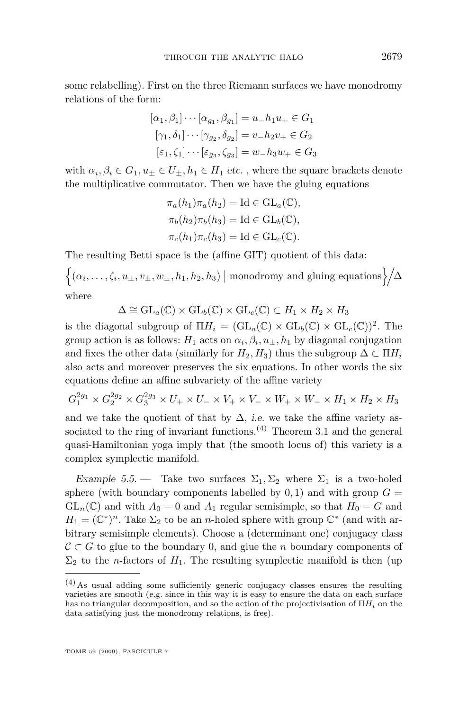some relabelling). First on the three Riemann surfaces we have monodromy relations of the form:

$$
[\alpha_1, \beta_1] \cdots [\alpha_{g_1}, \beta_{g_1}] = u_- h_1 u_+ \in G_1
$$

$$
[\gamma_1, \delta_1] \cdots [\gamma_{g_2}, \delta_{g_2}] = v_- h_2 v_+ \in G_2
$$

$$
[\varepsilon_1, \zeta_1] \cdots [\varepsilon_{g_3}, \zeta_{g_3}] = w_- h_3 w_+ \in G_3
$$

with  $\alpha_i, \beta_i \in G_1, u_\pm \in U_\pm, h_1 \in H_1$  etc., where the square brackets denote the multiplicative commutator. Then we have the gluing equations

$$
\pi_a(h_1)\pi_a(h_2) = \text{Id} \in \text{GL}_a(\mathbb{C}),
$$
  
\n
$$
\pi_b(h_2)\pi_b(h_3) = \text{Id} \in \text{GL}_b(\mathbb{C}),
$$
  
\n
$$
\pi_c(h_1)\pi_c(h_3) = \text{Id} \in \text{GL}_c(\mathbb{C}).
$$

The resulting Betti space is the (affine GIT) quotient of this data:

 $\left\{ (\alpha_i, \ldots, \zeta_i, u_\pm, v_\pm, w_\pm, h_1, h_2, h_3) \mid \text{monodromy and gluing equations} \right\} / \Delta$ 

where

$$
\Delta \cong \mathrm{GL}_a(\mathbb{C}) \times \mathrm{GL}_b(\mathbb{C}) \times \mathrm{GL}_c(\mathbb{C}) \subset H_1 \times H_2 \times H_3
$$

is the diagonal subgroup of  $\Pi H_i = (\mathrm{GL}_a(\mathbb{C}) \times \mathrm{GL}_b(\mathbb{C}) \times \mathrm{GL}_c(\mathbb{C}))^2$ . The group action is as follows:  $H_1$  acts on  $\alpha_i, \beta_i, u_{\pm}, h_1$  by diagonal conjugation and fixes the other data (similarly for  $H_2, H_3$ ) thus the subgroup  $\Delta \subset \Pi H_i$ also acts and moreover preserves the six equations. In other words the six equations define an affine subvariety of the affine variety

$$
G_1^{2g_1} \times G_2^{2g_2} \times G_3^{2g_3} \times U_+ \times U_- \times V_+ \times V_- \times W_+ \times W_- \times H_1 \times H_2 \times H_3
$$

and we take the quotient of that by  $\Delta$ , *i.e.* we take the affine variety as-sociated to the ring of invariant functions.<sup>(4)</sup> Theorem [3.1](#page-5-0) and the general quasi-Hamiltonian yoga imply that (the smooth locus of) this variety is a complex symplectic manifold.

Example 5.5. — Take two surfaces  $\Sigma_1, \Sigma_2$  where  $\Sigma_1$  is a two-holed sphere (with boundary components labelled by  $0, 1$ ) and with group  $G =$  $GL_n(\mathbb{C})$  and with  $A_0 = 0$  and  $A_1$  regular semisimple, so that  $H_0 = G$  and  $H_1 = (\mathbb{C}^*)^n$ . Take  $\Sigma_2$  to be an *n*-holed sphere with group  $\mathbb{C}^*$  (and with arbitrary semisimple elements). Choose a (determinant one) conjugacy class *C ⊂ G* to glue to the boundary 0, and glue the *n* boundary components of  $\Sigma_2$  to the *n*-factors of  $H_1$ . The resulting symplectic manifold is then (up

<sup>(4)</sup>As usual adding some sufficiently generic conjugacy classes ensures the resulting varieties are smooth (e.g. since in this way it is easy to ensure the data on each surface has no triangular decomposition, and so the action of the projectivisation of  $\Pi H_i$  on the data satisfying just the monodromy relations, is free).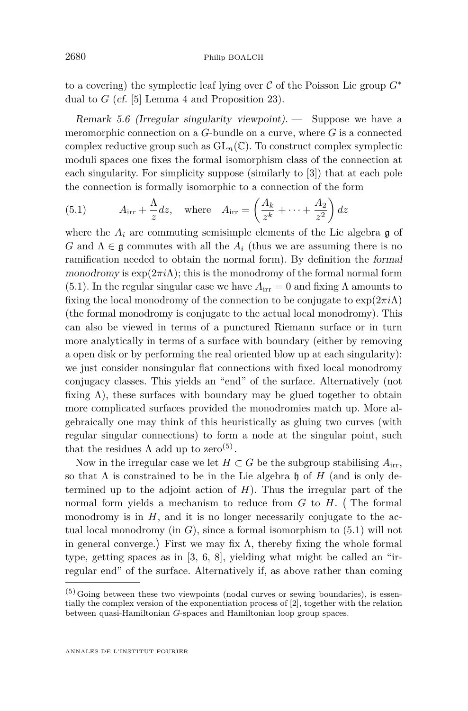<span id="page-12-0"></span>to a covering) the symplectic leaf lying over  $\mathcal C$  of the Poisson Lie group  $G^*$ dual to *G* (cf. [\[5\]](#page-16-0) Lemma 4 and Proposition 23).

Remark 5.6 (Irregular singularity viewpoint). — Suppose we have a meromorphic connection on a *G*-bundle on a curve, where *G* is a connected complex reductive group such as  $GL_n(\mathbb{C})$ . To construct complex symplectic moduli spaces one fixes the formal isomorphism class of the connection at each singularity. For simplicity suppose (similarly to [\[3\]](#page-16-0)) that at each pole the connection is formally isomorphic to a connection of the form

(5.1) 
$$
A_{irr} + \frac{\Lambda}{z}dz, \text{ where } A_{irr} = \left(\frac{A_k}{z^k} + \dots + \frac{A_2}{z^2}\right)dz
$$

where the  $A_i$  are commuting semisimple elements of the Lie algebra  $\mathfrak g$  of *G* and  $\Lambda \in \mathfrak{g}$  commutes with all the  $A_i$  (thus we are assuming there is no ramification needed to obtain the normal form). By definition the formal monodromy is  $\exp(2\pi i\Lambda)$ ; this is the monodromy of the formal normal form (5.1). In the regular singular case we have  $A_{irr} = 0$  and fixing  $\Lambda$  amounts to fixing the local monodromy of the connection to be conjugate to  $\exp(2\pi i\Lambda)$ (the formal monodromy is conjugate to the actual local monodromy). This can also be viewed in terms of a punctured Riemann surface or in turn more analytically in terms of a surface with boundary (either by removing a open disk or by performing the real oriented blow up at each singularity): we just consider nonsingular flat connections with fixed local monodromy conjugacy classes. This yields an "end" of the surface. Alternatively (not fixing  $\Lambda$ ), these surfaces with boundary may be glued together to obtain more complicated surfaces provided the monodromies match up. More algebraically one may think of this heuristically as gluing two curves (with regular singular connections) to form a node at the singular point, such that the residues  $\Lambda$  add up to zero<sup>(5)</sup>.

Now in the irregular case we let  $H \subset G$  be the subgroup stabilising  $A_{irr}$ , so that  $\Lambda$  is constrained to be in the Lie algebra h of *H* (and is only determined up to the adjoint action of *H*). Thus the irregular part of the normal form yields a mechanism to reduce from  $G$  to  $H$ . (The formal monodromy is in  $H$ , and it is no longer necessarily conjugate to the actual local monodromy (in *G*), since a formal isomorphism to (5.1) will not in general converge.) First we may fix  $\Lambda$ , thereby fixing the whole formal type, getting spaces as in [\[3,](#page-16-0) [6,](#page-16-0) [8\]](#page-16-0), yielding what might be called an "irregular end" of the surface. Alternatively if, as above rather than coming

 $(5)$  Going between these two viewpoints (nodal curves or sewing boundaries), is essentially the complex version of the exponentiation process of [\[2\]](#page-16-0), together with the relation between quasi-Hamiltonian *G*-spaces and Hamiltonian loop group spaces.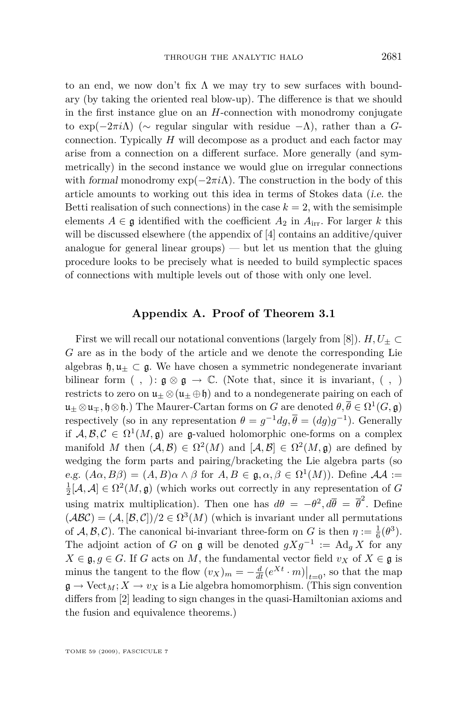to an end, we now don't fix  $\Lambda$  we may try to sew surfaces with boundary (by taking the oriented real blow-up). The difference is that we should in the first instance glue on an *H*-connection with monodromy conjugate to exp(*−*2*πi*Λ) (*∼* regular singular with residue *−*Λ), rather than a *G*connection. Typically *H* will decompose as a product and each factor may arise from a connection on a different surface. More generally (and symmetrically) in the second instance we would glue on irregular connections with formal monodromy  $\exp(-2\pi i\Lambda)$ . The construction in the body of this article amounts to working out this idea in terms of Stokes data (i.e. the Betti realisation of such connections) in the case  $k = 2$ , with the semisimple elements  $A \in \mathfrak{g}$  identified with the coefficient  $A_2$  in  $A_{irr}$ . For larger k this will be discussed elsewhere (the appendix of [\[4\]](#page-16-0) contains an additive/quiver analogue for general linear groups) — but let us mention that the gluing procedure looks to be precisely what is needed to build symplectic spaces of connections with multiple levels out of those with only one level.

#### **Appendix A. Proof of Theorem [3.1](#page-5-0)**

First we will recall our notational conventions (largely from [\[8\]](#page-16-0)).  $H, U_{\pm} \subset$ *G* are as in the body of the article and we denote the corresponding Lie algebras  $\mathfrak{h}, \mathfrak{u}_+ \subset \mathfrak{g}$ . We have chosen a symmetric nondegenerate invariant bilinear form  $( , ): \mathfrak{g} \otimes \mathfrak{g} \to \mathbb{C}$ . (Note that, since it is invariant,  $( , )$ restricts to zero on  $\mathfrak{u}_\pm \otimes (\mathfrak{u}_\pm \oplus \mathfrak{h})$  and to a nondegenerate pairing on each of  $\mathfrak{u}_\pm\otimes\mathfrak{u}_\mp, \mathfrak{h}\otimes\mathfrak{h}.$ ) The Maurer-Cartan forms on  $G$  are denoted  $\theta,\overline{\theta}\in \Omega^1(G,\mathfrak{g})$ respectively (so in any representation  $\theta = g^{-1} dg$ ,  $\overline{\theta} = (dg)g^{-1}$ ). Generally if  $A, B, C \in \Omega^1(M, \mathfrak{g})$  are g-valued holomorphic one-forms on a complex manifold *M* then  $(A, \mathcal{B}) \in \Omega^2(M)$  and  $[A, \mathcal{B}] \in \Omega^2(M, \mathfrak{g})$  are defined by wedging the form parts and pairing/bracketing the Lie algebra parts (so e.g.  $(A\alpha, B\beta) = (A, B)\alpha \wedge \beta$  for  $A, B \in \mathfrak{g}, \alpha, \beta \in \Omega^1(M)$ ). Define  $\mathcal{A}\mathcal{A} :=$  $\frac{1}{2}[\mathcal{A}, \mathcal{A}] \in \Omega^2(M, \mathfrak{g})$  (which works out correctly in any representation of *G* using matrix multiplication). Then one has  $d\theta = -\theta^2, d\overline{\theta} = \overline{\theta}^2$ . Define  $(ABC) = (A, [B, C])/2 \in \Omega^3(M)$  (which is invariant under all permutations of *A*, *B*, *C*). The canonical bi-invariant three-form on *G* is then  $\eta := \frac{1}{6}(\theta^3)$ . The adjoint action of *G* on **g** will be denoted  $gXg^{-1} := \text{Ad}_g X$  for any  $X \in \mathfrak{g}, g \in G$ . If *G* acts on *M*, the fundamental vector field *v<sub>X</sub>* of  $X \in \mathfrak{g}$  is minus the tangent to the flow  $(v_X)_m = -\frac{d}{dt}(e^{Xt} \cdot m)\Big|_{t=0}$ , so that the map  $\mathfrak{g} \to \text{Vect}_M$ ;  $X \to v_X$  is a Lie algebra homomorphism. (This sign convention differs from [\[2\]](#page-16-0) leading to sign changes in the quasi-Hamiltonian axioms and the fusion and equivalence theorems.)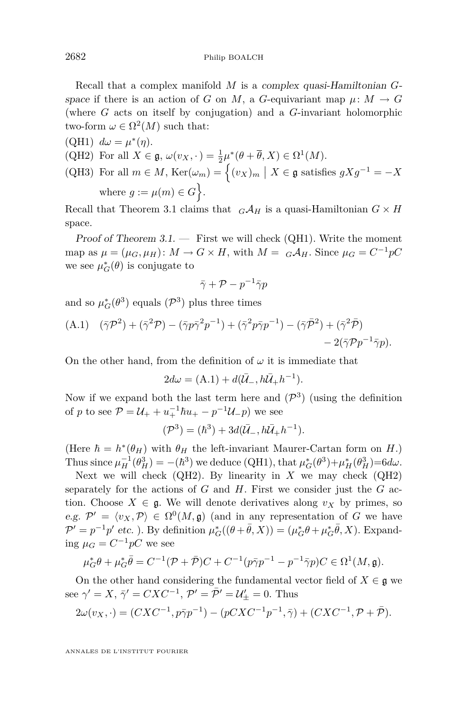Recall that a complex manifold *M* is a complex quasi-Hamiltonian *G*space if there is an action of *G* on *M*, a *G*-equivariant map  $\mu: M \to G$ (where *G* acts on itself by conjugation) and a *G*-invariant holomorphic two-form  $\omega \in \Omega^2(M)$  such that:

(QH1)  $d\omega = \mu^*(\eta)$ . (QH2) For all  $X \in \mathfrak{g}, \omega(v_X, \cdot) = \frac{1}{2}\mu^*(\theta + \overline{\theta}, X) \in \Omega^1(M)$ . (QH3) For all  $m \in M$ ,  $\text{Ker}(\omega_m) = \left\{ (v_X)_m \mid X \in \mathfrak{g} \text{ satisfies } gXg^{-1} = -X \right\}$ where  $g := \mu(m) \in G$ .

Recall that Theorem [3.1](#page-5-0) claims that  $G \mathcal{A}_H$  is a quasi-Hamiltonian  $G \times H$ space.

Proof of Theorem  $3.1.$  — First we will check (QH1). Write the moment map as  $\mu = (\mu_G, \mu_H): M \to G \times H$ , with  $M = G \mathcal{A}_H$ . Since  $\mu_G = C^{-1} pC$ we see  $\mu_G^*(\theta)$  is conjugate to

$$
\bar{\gamma}+\mathcal{P}-p^{-1}\bar{\gamma}p
$$

and so  $\mu_G^*(\theta^3)$  equals  $(\mathcal{P}^3)$  plus three times

(A.1) 
$$
(\bar{\gamma}\mathcal{P}^2) + (\bar{\gamma}^2\mathcal{P}) - (\bar{\gamma}p\bar{\gamma}^2p^{-1}) + (\bar{\gamma}^2p\bar{\gamma}p^{-1}) - (\bar{\gamma}\bar{\mathcal{P}}^2) + (\bar{\gamma}^2\bar{\mathcal{P}}) - 2(\bar{\gamma}\mathcal{P}p^{-1}\bar{\gamma}p).
$$

On the other hand, from the definition of  $\omega$  it is immediate that

$$
2d\omega = (A.1) + d(\bar{U}_-, h\bar{U}_+h^{-1}).
$$

Now if we expand both the last term here and  $(\mathcal{P}^3)$  (using the definition of *p* to see  $P = U_{+} + u_{+}^{-1} \hbar u_{+} - p^{-1} U_{-} p$  we see

$$
(\mathcal{P}^3) = (\hbar^3) + 3d(\bar{U}_-, h\bar{U}_+h^{-1}).
$$

(Here  $\hbar = h^*(\theta_H)$  with  $\theta_H$  the left-invariant Maurer-Cartan form on *H*.) Thus since  $\mu_H^{-1}(\theta_H^3) = -(\hbar^3)$  we deduce (QH1), that  $\mu_G^*(\theta^3) + \mu_H^*(\theta_H^3) = 6d\omega$ .

Next we will check  $(QH2)$ . By linearity in *X* we may check  $(QH2)$ separately for the actions of *G* and *H*. First we consider just the *G* action. Choose  $X \in \mathfrak{g}$ . We will denote derivatives along  $v_X$  by primes, so e.g.  $\mathcal{P}' = \langle v_X, \mathcal{P} \rangle \in \Omega^0(M, \mathfrak{g})$  (and in any representation of *G* we have  $\mathcal{P}' = p^{-1}p'$  etc. ). By definition  $\mu_G^*(\theta + \bar{\theta}, X) = (\mu_G^*\theta + \mu_G^*\bar{\theta}, X)$ . Expanding  $\mu_G = C^{-1}pC$  we see

$$
\mu_G^* \theta + \mu_G^* \bar{\theta} = C^{-1} (\mathcal{P} + \bar{\mathcal{P}}) C + C^{-1} (p \bar{\gamma} p^{-1} - p^{-1} \bar{\gamma} p) C \in \Omega^1(M, \mathfrak{g}).
$$

On the other hand considering the fundamental vector field of  $X \in \mathfrak{g}$  we see  $\gamma' = X$ ,  $\bar{\gamma}' = CXC^{-1}$ ,  $\mathcal{P}' = \bar{\mathcal{P}}' = \mathcal{U}'_{\pm} = 0$ . Thus

$$
2\omega(v_X, \cdot) = (CXC^{-1}, p\bar{\gamma}p^{-1}) - (pCXC^{-1}p^{-1}, \bar{\gamma}) + (CXC^{-1}, \mathcal{P} + \bar{\mathcal{P}}).
$$

ANNALES DE L'INSTITUT FOURIER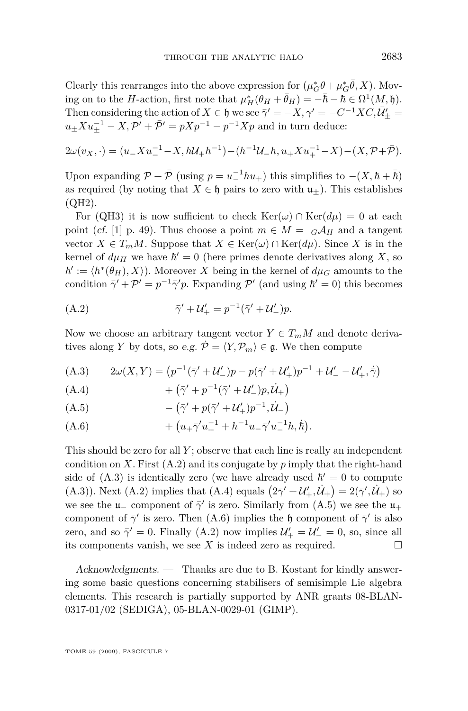Clearly this rearranges into the above expression for  $(\mu_G^* \theta + \mu_G^* \bar{\theta}, X)$ . Moving on to the *H*-action, first note that  $\mu_H^*(\theta_H + \bar{\theta}_H) = -\bar{h} - \bar{h} \in \Omega^1(M, \mathfrak{h})$ . Then considering the action of  $X \in \mathfrak{h}$  we see  $\bar{\gamma}' = -X$ ,  $\gamma' = -C^{-1}XC$ ,  $\bar{\mathcal{U}}'_{\pm} = 0$  $u_{\pm} X u_{\pm}^{-1} - X$ ,  $\mathcal{P}' + \bar{\mathcal{P}}' = p X p^{-1} - p^{-1} X p$  and in turn deduce:

$$
2\omega(v_X, \cdot) = (u_+ X u_-^{-1} - X, h\mathcal{U}_+ h^{-1}) - (h^{-1}\mathcal{U}_- h, u_+ X u_+^{-1} - X) - (X, \mathcal{P} + \bar{\mathcal{P}}).
$$

Upon expanding  $\mathcal{P} + \bar{\mathcal{P}}$  (using  $p = u_-^{-1} h u_+$ ) this simplifies to  $-(X, \hbar + \bar{\hbar})$ as required (by noting that  $X \in \mathfrak{h}$  pairs to zero with  $\mathfrak{u}_+$ ). This establishes (QH2).

For (QH3) it is now sufficient to check  $\text{Ker}(\omega) \cap \text{Ker}(d\mu) = 0$  at each point (cf. [\[1\]](#page-16-0) p. 49). Thus choose a point  $m \in M = G \mathcal{A}_H$  and a tangent vector  $X \in T_m M$ . Suppose that  $X \in \text{Ker}(\omega) \cap \text{Ker}(d\mu)$ . Since X is in the kernel of  $d\mu$ <sup>H</sup> we have  $\hbar' = 0$  (here primes denote derivatives along *X*, so  $\hbar' := \langle h^*(\theta_H), X \rangle$ . Moreover X being in the kernel of  $d\mu_G$  amounts to the condition  $\bar{\gamma}' + \mathcal{P}' = p^{-1}\bar{\gamma}'p$ . Expanding  $\mathcal{P}'$  (and using  $\hbar' = 0$ ) this becomes

(A.2) 
$$
\bar{\gamma}' + \mathcal{U}'_+ = p^{-1}(\bar{\gamma}' + \mathcal{U}'_-)p.
$$

Now we choose an arbitrary tangent vector  $Y \in T_m M$  and denote derivatives along *Y* by dots, so e.g.  $\dot{\mathcal{P}} = \langle Y, \mathcal{P}_m \rangle \in \mathfrak{g}$ . We then compute

(A.3) 
$$
2\omega(X,Y) = (p^{-1}(\bar{\gamma}'+\mathcal{U}'_-)p - p(\bar{\gamma}'+\mathcal{U}'_+)p^{-1} + \mathcal{U}'_- - \mathcal{U}'_+, \dot{\bar{\gamma}})
$$

(A.4) 
$$
+ (\bar{\gamma}' + p^{-1}(\bar{\gamma}' + \mathcal{U}'_-)p, \dot{\mathcal{U}}_+)
$$

(A.5) 
$$
- (\bar{\gamma}' + p(\bar{\gamma}' + \mathcal{U}'_{+})p^{-1}, \dot{\mathcal{U}}_{-})
$$

(A.6) 
$$
+ (u_{+} \bar{\gamma}' u_{+}^{-1} + h^{-1} u_{-} \bar{\gamma}' u_{-}^{-1} h, \dot{h}).
$$

This should be zero for all *Y* ; observe that each line is really an independent condition on  $X$ . First  $(A.2)$  and its conjugate by  $p$  imply that the right-hand side of  $(A.3)$  is identically zero (we have already used  $\hbar' = 0$  to compute (A.3)). Next (A.2) implies that (A.4) equals  $(2\bar{\gamma}' + U'_+, \dot{U}_+) = 2(\bar{\gamma}', \dot{U}_+)$  so we see the  $\mathfrak{u}_-$  component of  $\bar{\gamma}'$  is zero. Similarly from (A.5) we see the  $\mathfrak{u}_+$ component of  $\bar{\gamma}'$  is zero. Then (A.6) implies the h component of  $\bar{\gamma}'$  is also zero, and so  $\bar{\gamma}' = 0$ . Finally (A.2) now implies  $\mathcal{U}'_+ = \mathcal{U}'_- = 0$ , so, since all its components vanish, we see  $X$  is indeed zero as required.  $\Box$ 

Acknowledgments. — Thanks are due to B. Kostant for kindly answering some basic questions concerning stabilisers of semisimple Lie algebra elements. This research is partially supported by ANR grants 08-BLAN-0317-01/02 (SEDIGA), 05-BLAN-0029-01 (GIMP).

TOME 59 (2009), FASCICULE 7